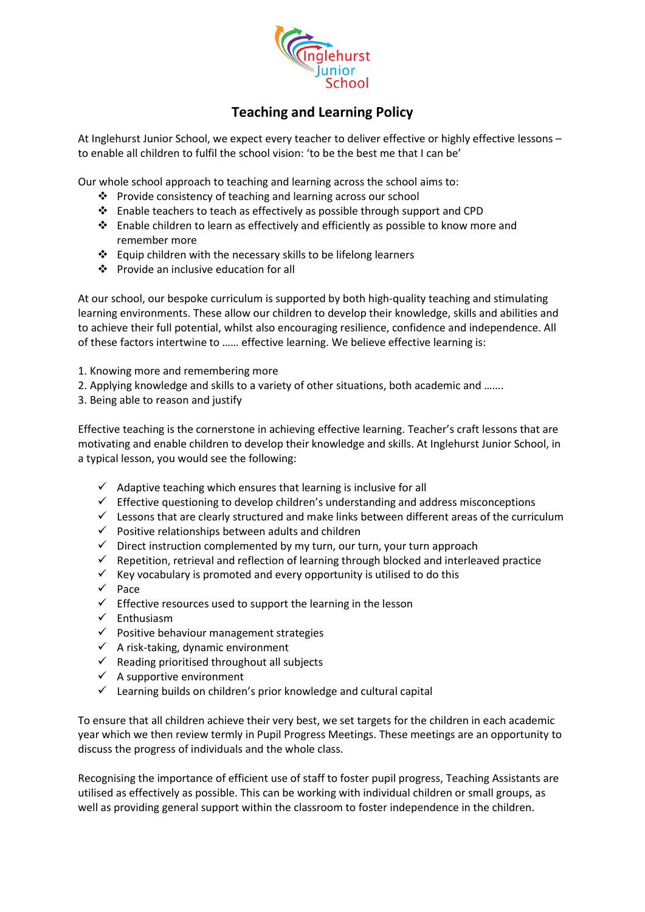

## **Teaching and Learning Policy**

At Inglehurst Junior School, we expect every teacher to deliver effective or highly effective lessons – to enable all children to fulfil the school vision: 'to be the best me that I can be'

Our whole school approach to teaching and learning across the school aims to:

- ❖ Provide consistency of teaching and learning across our school
- ❖ Enable teachers to teach as effectively as possible through support and CPD
- ❖ Enable children to learn as effectively and efficiently as possible to know more and remember more
- ❖ Equip children with the necessary skills to be lifelong learners
- ❖ Provide an inclusive education for all

At our school, our bespoke curriculum is supported by both high-quality teaching and stimulating learning environments. These allow our children to develop their knowledge, skills and abilities and to achieve their full potential, whilst also encouraging resilience, confidence and independence. All of these factors intertwine to …… effective learning. We believe effective learning is:

- 1. Knowing more and remembering more
- 2. Applying knowledge and skills to a variety of other situations, both academic and …….
- 3. Being able to reason and justify

Effective teaching is the cornerstone in achieving effective learning. Teacher's craft lessons that are motivating and enable children to develop their knowledge and skills. At Inglehurst Junior School, in a typical lesson, you would see the following:

- $\checkmark$  Adaptive teaching which ensures that learning is inclusive for all
- ✓ Effective questioning to develop children's understanding and address misconceptions
- $\checkmark$  Lessons that are clearly structured and make links between different areas of the curriculum
- $\checkmark$  Positive relationships between adults and children
- ✓ Direct instruction complemented by my turn, our turn, your turn approach
- $\checkmark$  Repetition, retrieval and reflection of learning through blocked and interleaved practice
- $\checkmark$  Key vocabulary is promoted and every opportunity is utilised to do this
- ✓ Pace
- $\checkmark$  Effective resources used to support the learning in the lesson
- ✓ Enthusiasm
- $\checkmark$  Positive behaviour management strategies
- $\checkmark$  A risk-taking, dynamic environment
- $\checkmark$  Reading prioritised throughout all subjects
- $\checkmark$  A supportive environment
- $\checkmark$  Learning builds on children's prior knowledge and cultural capital

To ensure that all children achieve their very best, we set targets for the children in each academic year which we then review termly in Pupil Progress Meetings. These meetings are an opportunity to discuss the progress of individuals and the whole class.

Recognising the importance of efficient use of staff to foster pupil progress, Teaching Assistants are utilised as effectively as possible. This can be working with individual children or small groups, as well as providing general support within the classroom to foster independence in the children.